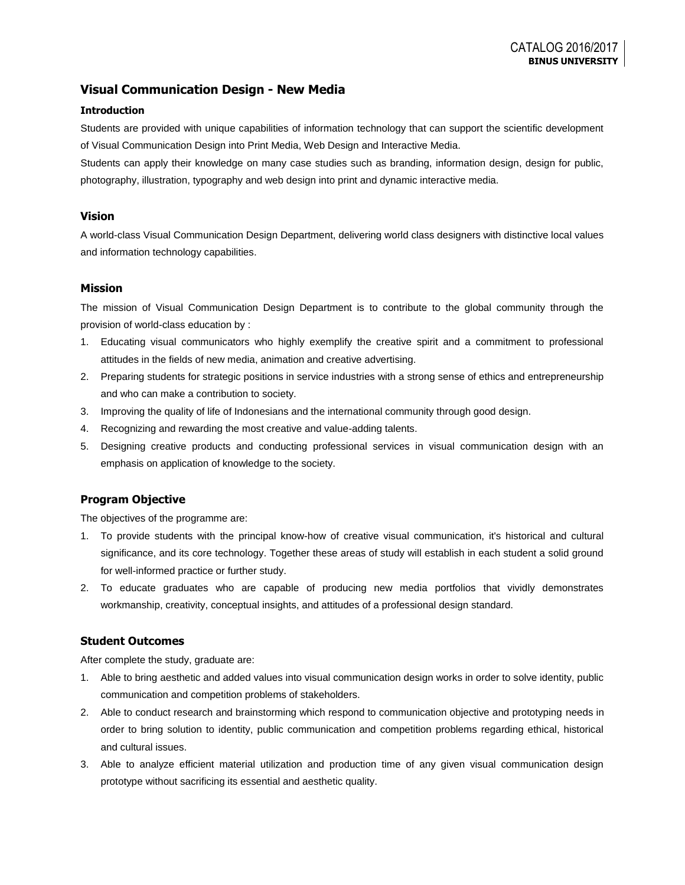# **Visual Communication Design - New Media**

### **Introduction**

Students are provided with unique capabilities of information technology that can support the scientific development of Visual Communication Design into Print Media, Web Design and Interactive Media.

Students can apply their knowledge on many case studies such as branding, information design, design for public, photography, illustration, typography and web design into print and dynamic interactive media.

#### **Vision**

A world-class Visual Communication Design Department, delivering world class designers with distinctive local values and information technology capabilities.

### **Mission**

The mission of Visual Communication Design Department is to contribute to the global community through the provision of world-class education by :

- 1. Educating visual communicators who highly exemplify the creative spirit and a commitment to professional attitudes in the fields of new media, animation and creative advertising.
- 2. Preparing students for strategic positions in service industries with a strong sense of ethics and entrepreneurship and who can make a contribution to society.
- 3. Improving the quality of life of Indonesians and the international community through good design.
- 4. Recognizing and rewarding the most creative and value-adding talents.
- 5. Designing creative products and conducting professional services in visual communication design with an emphasis on application of knowledge to the society.

### **Program Objective**

The objectives of the programme are:

- 1. To provide students with the principal know-how of creative visual communication, it's historical and cultural significance, and its core technology. Together these areas of study will establish in each student a solid ground for well-informed practice or further study.
- 2. To educate graduates who are capable of producing new media portfolios that vividly demonstrates workmanship, creativity, conceptual insights, and attitudes of a professional design standard.

### **Student Outcomes**

After complete the study, graduate are:

- 1. Able to bring aesthetic and added values into visual communication design works in order to solve identity, public communication and competition problems of stakeholders.
- 2. Able to conduct research and brainstorming which respond to communication objective and prototyping needs in order to bring solution to identity, public communication and competition problems regarding ethical, historical and cultural issues.
- 3. Able to analyze efficient material utilization and production time of any given visual communication design prototype without sacrificing its essential and aesthetic quality.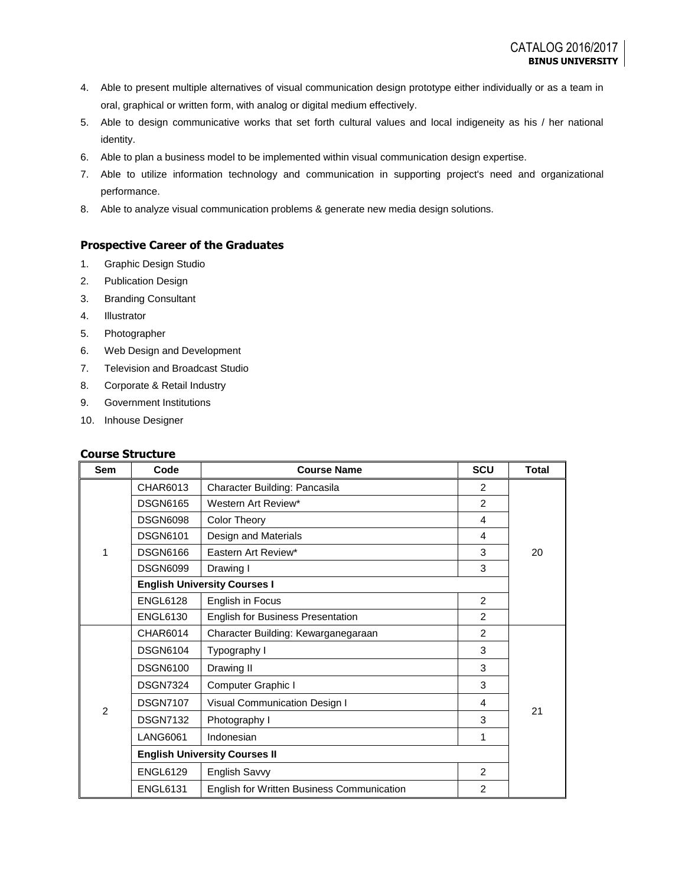- 4. Able to present multiple alternatives of visual communication design prototype either individually or as a team in oral, graphical or written form, with analog or digital medium effectively.
- 5. Able to design communicative works that set forth cultural values and local indigeneity as his / her national identity.
- 6. Able to plan a business model to be implemented within visual communication design expertise.
- 7. Able to utilize information technology and communication in supporting project's need and organizational performance.
- 8. Able to analyze visual communication problems & generate new media design solutions.

### **Prospective Career of the Graduates**

- 1. Graphic Design Studio
- 2. Publication Design
- 3. Branding Consultant
- 4. Illustrator
- 5. Photographer
- 6. Web Design and Development
- 7. Television and Broadcast Studio
- 8. Corporate & Retail Industry
- 9. Government Institutions
- 10. Inhouse Designer

### **Course Structure**

| <b>Sem</b>     | Code                                 | <b>Course Name</b>                                | <b>SCU</b>     | <b>Total</b> |
|----------------|--------------------------------------|---------------------------------------------------|----------------|--------------|
|                | CHAR6013                             | Character Building: Pancasila                     | 2              |              |
|                | <b>DSGN6165</b>                      | Western Art Review*                               | $\overline{2}$ |              |
|                | <b>DSGN6098</b>                      | <b>Color Theory</b>                               | 4              |              |
|                | <b>DSGN6101</b>                      | Design and Materials                              | 4              |              |
| 1              | <b>DSGN6166</b>                      | Eastern Art Review*                               | 3              | 20           |
|                | <b>DSGN6099</b>                      | Drawing I                                         | 3              |              |
|                |                                      | <b>English University Courses I</b>               |                |              |
|                | <b>ENGL6128</b>                      | English in Focus                                  | $\overline{2}$ |              |
|                | <b>ENGL6130</b>                      | English for Business Presentation                 | 2              |              |
|                | CHAR6014                             | Character Building: Kewarganegaraan               | 2              |              |
|                | <b>DSGN6104</b>                      | Typography I                                      | 3              |              |
|                | <b>DSGN6100</b>                      | Drawing II                                        | 3              |              |
|                | <b>DSGN7324</b>                      | Computer Graphic I                                | 3              |              |
|                | <b>DSGN7107</b>                      | Visual Communication Design I                     | 4              | 21           |
| $\overline{2}$ | <b>DSGN7132</b>                      | Photography I                                     | 3              |              |
|                | <b>LANG6061</b>                      | Indonesian                                        | 1              |              |
|                | <b>English University Courses II</b> |                                                   |                |              |
|                | <b>ENGL6129</b>                      | English Savvy                                     | $\mathfrak{p}$ |              |
|                | <b>ENGL6131</b>                      | <b>English for Written Business Communication</b> | $\overline{2}$ |              |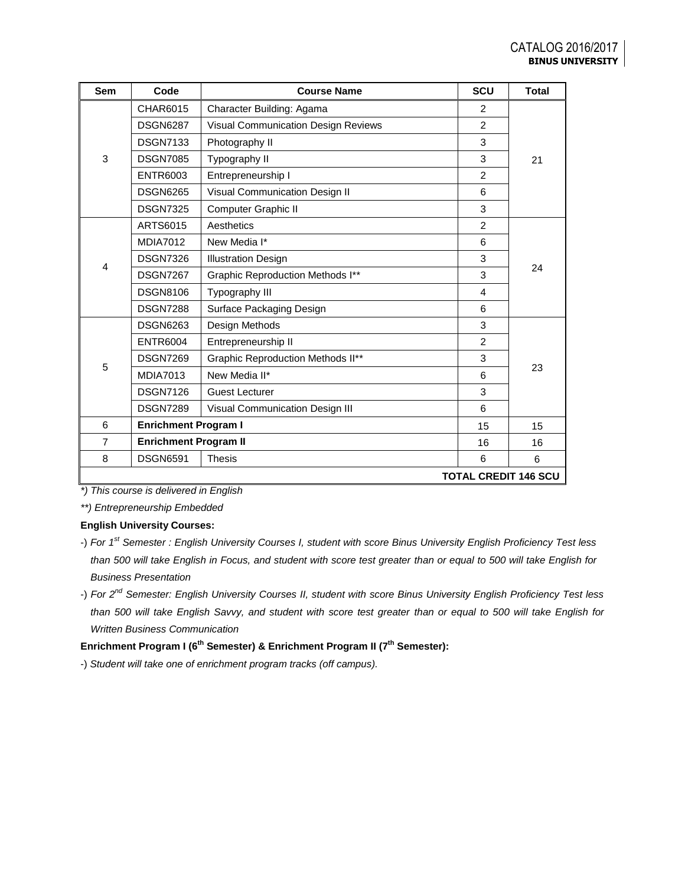| Sem            | Code                         | <b>Course Name</b>                         | <b>SCU</b>     | <b>Total</b> |  |  |  |
|----------------|------------------------------|--------------------------------------------|----------------|--------------|--|--|--|
|                | CHAR6015                     | Character Building: Agama                  | 2              |              |  |  |  |
|                | <b>DSGN6287</b>              | <b>Visual Communication Design Reviews</b> | $\overline{2}$ |              |  |  |  |
|                | <b>DSGN7133</b>              | Photography II                             | 3              |              |  |  |  |
| 3              | <b>DSGN7085</b>              | Typography II                              | 3              | 21           |  |  |  |
|                | <b>ENTR6003</b>              | Entrepreneurship I                         | $\overline{2}$ |              |  |  |  |
|                | <b>DSGN6265</b>              | Visual Communication Design II             | 6              |              |  |  |  |
|                | <b>DSGN7325</b>              | Computer Graphic II                        | 3              |              |  |  |  |
|                | <b>ARTS6015</b>              | Aesthetics                                 | $\overline{2}$ |              |  |  |  |
|                | <b>MDIA7012</b>              | New Media I*                               | 6              |              |  |  |  |
|                | <b>DSGN7326</b>              | <b>Illustration Design</b>                 | 3              |              |  |  |  |
| 4              | <b>DSGN7267</b>              | <b>Graphic Reproduction Methods I**</b>    | 3              | 24           |  |  |  |
|                | <b>DSGN8106</b>              | Typography III                             | $\overline{4}$ |              |  |  |  |
|                | <b>DSGN7288</b>              | Surface Packaging Design                   | 6              |              |  |  |  |
|                | <b>DSGN6263</b>              | Design Methods                             | 3              |              |  |  |  |
|                | <b>ENTR6004</b>              | Entrepreneurship II                        | 2              |              |  |  |  |
| 5              | <b>DSGN7269</b>              | <b>Graphic Reproduction Methods II**</b>   | 3              |              |  |  |  |
|                | <b>MDIA7013</b>              | New Media II*                              | 6              | 23           |  |  |  |
|                | <b>DSGN7126</b>              | <b>Guest Lecturer</b>                      | 3              |              |  |  |  |
|                | <b>DSGN7289</b>              | Visual Communication Design III            | 6              |              |  |  |  |
| 6              | <b>Enrichment Program I</b>  |                                            | 15             | 15           |  |  |  |
| $\overline{7}$ | <b>Enrichment Program II</b> |                                            | 16             | 16           |  |  |  |
| 8              | <b>DSGN6591</b>              | <b>Thesis</b>                              | 6              | 6            |  |  |  |
|                | <b>TOTAL CREDIT 146 SCU</b>  |                                            |                |              |  |  |  |

*\*) This course is delivered in English*

*\*\*) Entrepreneurship Embedded*

## **English University Courses:**

- -) *For 1st Semester : English University Courses I, student with score Binus University English Proficiency Test less than 500 will take English in Focus, and student with score test greater than or equal to 500 will take English for Business Presentation*
- -) *For 2nd Semester: English University Courses II, student with score Binus University English Proficiency Test less than 500 will take English Savvy, and student with score test greater than or equal to 500 will take English for Written Business Communication*

# **Enrichment Program I (6th Semester) & Enrichment Program II (7th Semester):**

-) *Student will take one of enrichment program tracks (off campus).*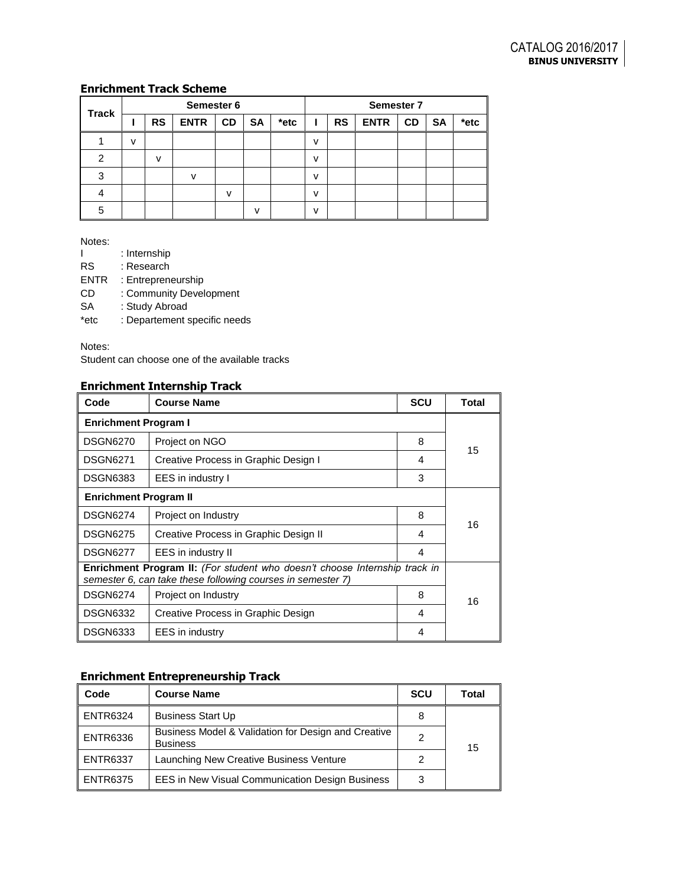# **Enrichment Track Scheme**

|              |   | Semester 6 |              |              |           |      |   |           | Semester 7  |           |           |      |
|--------------|---|------------|--------------|--------------|-----------|------|---|-----------|-------------|-----------|-----------|------|
| <b>Track</b> |   | <b>RS</b>  | <b>ENTR</b>  | <b>CD</b>    | <b>SA</b> | *etc |   | <b>RS</b> | <b>ENTR</b> | <b>CD</b> | <b>SA</b> | *etc |
|              | v |            |              |              |           |      | ν |           |             |           |           |      |
| ົ            |   | v          |              |              |           |      | ν |           |             |           |           |      |
| 3            |   |            | $\mathbf{v}$ |              |           |      | v |           |             |           |           |      |
|              |   |            |              | $\mathsf{v}$ |           |      | v |           |             |           |           |      |
| 5            |   |            |              |              | v         |      | v |           |             |           |           |      |

Notes:

| ı           | : Internship                 |
|-------------|------------------------------|
| <b>RS</b>   | : Research                   |
| <b>ENTR</b> | : Entrepreneurship           |
| CD          | : Community Development      |
| <b>SA</b>   | : Study Abroad               |
| *etc        | : Departement specific needs |

Notes:

Student can choose one of the available tracks

# **Enrichment Internship Track**

| Code                                                                                                                                             | <b>Course Name</b>                    | <b>SCU</b> | Total |  |  |
|--------------------------------------------------------------------------------------------------------------------------------------------------|---------------------------------------|------------|-------|--|--|
| <b>Enrichment Program I</b>                                                                                                                      |                                       |            |       |  |  |
| <b>DSGN6270</b>                                                                                                                                  | Project on NGO                        | 8          |       |  |  |
| <b>DSGN6271</b>                                                                                                                                  | Creative Process in Graphic Design I  | 4          | 15    |  |  |
| <b>DSGN6383</b>                                                                                                                                  | EES in industry I                     | 3          |       |  |  |
| <b>Enrichment Program II</b>                                                                                                                     |                                       |            |       |  |  |
| <b>DSGN6274</b>                                                                                                                                  | Project on Industry                   | 8          | 16    |  |  |
| <b>DSGN6275</b>                                                                                                                                  | Creative Process in Graphic Design II | 4          |       |  |  |
| <b>DSGN6277</b>                                                                                                                                  | EES in industry II                    | 4          |       |  |  |
| <b>Enrichment Program II:</b> (For student who doesn't choose Internship track in<br>semester 6, can take these following courses in semester 7) |                                       |            |       |  |  |
| <b>DSGN6274</b>                                                                                                                                  | Project on Industry                   | 8          | 16    |  |  |
| <b>DSGN6332</b>                                                                                                                                  | Creative Process in Graphic Design    | 4          |       |  |  |
| <b>DSGN6333</b>                                                                                                                                  | <b>EES</b> in industry                | 4          |       |  |  |

# **Enrichment Entrepreneurship Track**

| Code             | <b>Course Name</b>                                                     | <b>SCU</b> | Total |
|------------------|------------------------------------------------------------------------|------------|-------|
| $\vert$ ENTR6324 | <b>Business Start Up</b>                                               | 8          |       |
| $\vert$ ENTR6336 | Business Model & Validation for Design and Creative<br><b>Business</b> | 2          | 15    |
| $\vert$ ENTR6337 | Launching New Creative Business Venture                                |            |       |
| l ENTR6375       | EES in New Visual Communication Design Business                        | 3          |       |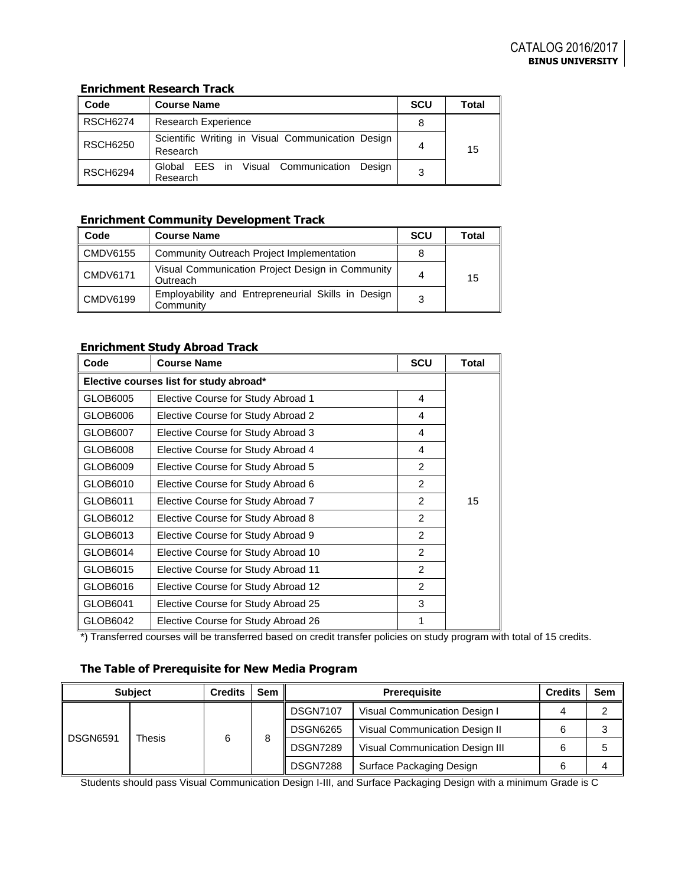## **Enrichment Research Track**

| Code            | <b>Course Name</b>                                            | <b>SCU</b> | Total |
|-----------------|---------------------------------------------------------------|------------|-------|
| <b>RSCH6274</b> | <b>Research Experience</b>                                    | 8          |       |
| <b>RSCH6250</b> | Scientific Writing in Visual Communication Design<br>Research | 4          | 15    |
| <b>RSCH6294</b> | Global EES in Visual Communication Design<br>Research         | 3          |       |

## **Enrichment Community Development Track**

| Code                 | <b>Course Name</b>                                              | <b>SCU</b> | Total |
|----------------------|-----------------------------------------------------------------|------------|-------|
| $\mathsf{COMDV6155}$ | Community Outreach Project Implementation                       |            |       |
| CMDV6171             | Visual Communication Project Design in Community<br>Outreach    | 4          | 15    |
| CMDV6199             | Employability and Entrepreneurial Skills in Design<br>Community |            |       |

## **Enrichment Study Abroad Track**

| Code     | <b>Course Name</b>                      | <b>SCU</b>    | <b>Total</b> |
|----------|-----------------------------------------|---------------|--------------|
|          | Elective courses list for study abroad* |               |              |
| GLOB6005 | Elective Course for Study Abroad 1      | 4             |              |
| GLOB6006 | Elective Course for Study Abroad 2      | 4             |              |
| GLOB6007 | Elective Course for Study Abroad 3      | 4             |              |
| GLOB6008 | Elective Course for Study Abroad 4      | 4             |              |
| GLOB6009 | Elective Course for Study Abroad 5      | $\mathcal{P}$ |              |
| GLOB6010 | Elective Course for Study Abroad 6      | 2             |              |
| GLOB6011 | Elective Course for Study Abroad 7      | 2             | 15           |
| GLOB6012 | Elective Course for Study Abroad 8      | $\mathcal{P}$ |              |
| GLOB6013 | Elective Course for Study Abroad 9      | $\mathcal{P}$ |              |
| GLOB6014 | Elective Course for Study Abroad 10     | 2             |              |
| GLOB6015 | Elective Course for Study Abroad 11     | 2             |              |
| GLOB6016 | Elective Course for Study Abroad 12     | $\mathcal{P}$ |              |
| GLOB6041 | Elective Course for Study Abroad 25     | 3             |              |
| GLOB6042 | Elective Course for Study Abroad 26     | 1             |              |

\*) Transferred courses will be transferred based on credit transfer policies on study program with total of 15 credits.

# **The Table of Prerequisite for New Media Program**

|                           | <b>Subject</b> | <b>Credits</b> | Sem |                 | <b>Prerequisite</b>             |  | Sem I |
|---------------------------|----------------|----------------|-----|-----------------|---------------------------------|--|-------|
|                           |                |                |     | <b>DSGN7107</b> | Visual Communication Design I   |  |       |
| <b>DSGN6591</b><br>Thesis |                |                | 8   | <b>DSGN6265</b> | Visual Communication Design II  |  |       |
|                           |                | 6              |     | <b>DSGN7289</b> | Visual Communication Design III |  |       |
|                           |                |                |     | <b>DSGN7288</b> | Surface Packaging Design        |  |       |

Students should pass Visual Communication Design I-III, and Surface Packaging Design with a minimum Grade is C